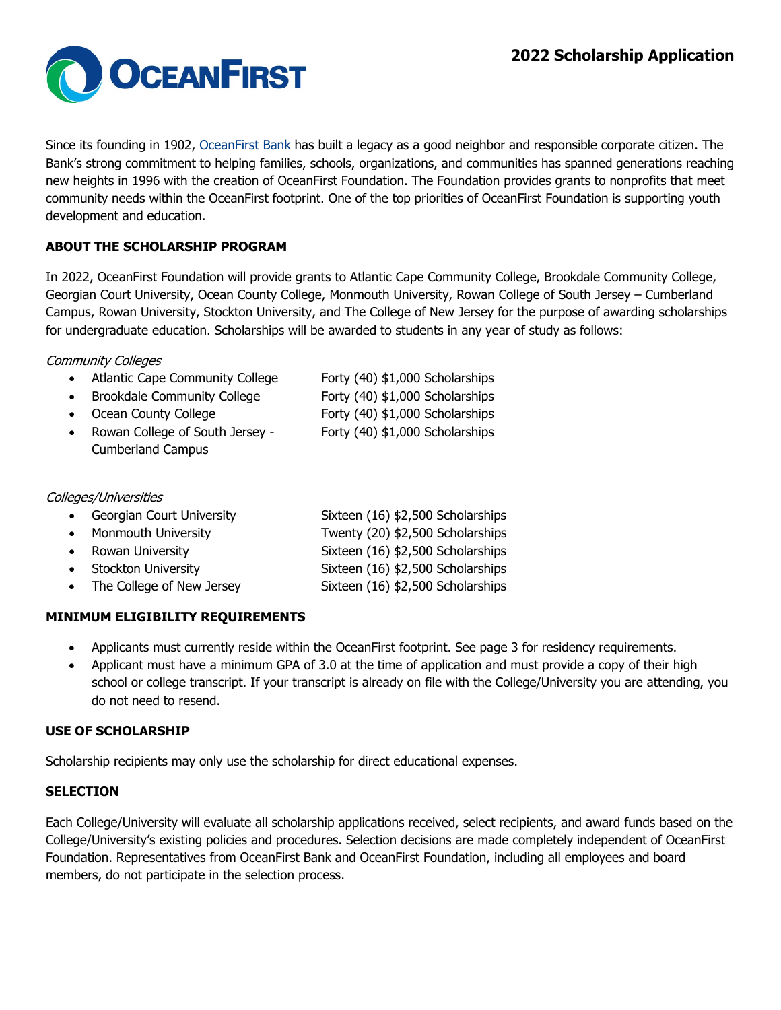

Since its founding in 1902, [OceanFirst Bank](https://www.oceanfirstonline.com/) has built a legacy as a good neighbor and responsible corporate citizen. The Bank's strong commitment to helping families, schools, organizations, and communities has spanned generations reaching new heights in 1996 with the creation of OceanFirst Foundation. The Foundation provides grants to nonprofits that meet community needs within the OceanFirst footprint. One of the top priorities of OceanFirst Foundation is supporting youth development and education.

# **ABOUT THE SCHOLARSHIP PROGRAM**

In 2022, OceanFirst Foundation will provide grants to Atlantic Cape Community College, Brookdale Community College, Georgian Court University, Ocean County College, Monmouth University, Rowan College of South Jersey – Cumberland Campus, Rowan University, Stockton University, and The College of New Jersey for the purpose of awarding scholarships for undergraduate education. Scholarships will be awarded to students in any year of study as follows:

# Community Colleges

- Atlantic Cape Community College Forty (40) \$1,000 Scholarships • Brookdale Community College Forty (40) \$1,000 Scholarships
- 
- Rowan College of South Jersey Forty (40) \$1,000 Scholarships

• Ocean County College Forty (40) \$1,000 Scholarships

Cumberland Campus

## Colleges/Universities

| • Georgian Court University | Sixteen (16) \$2,500 Scholarships |
|-----------------------------|-----------------------------------|
| • Monmouth University       | Twenty (20) \$2,500 Scholarships  |
| • Rowan University          | Sixteen (16) \$2,500 Scholarships |
| • Stockton University       | Sixteen (16) \$2,500 Scholarships |
| • The College of New Jersey | Sixteen (16) \$2,500 Scholarships |

# **MINIMUM ELIGIBILITY REQUIREMENTS**

- Applicants must currently reside within the OceanFirst footprint. See page 3 for residency requirements.
- Applicant must have a minimum GPA of 3.0 at the time of application and must provide a copy of their high school or college transcript. If your transcript is already on file with the College/University you are attending, you do not need to resend.

## **USE OF SCHOLARSHIP**

Scholarship recipients may only use the scholarship for direct educational expenses.

# **SELECTION**

Each College/University will evaluate all scholarship applications received, select recipients, and award funds based on the College/University's existing policies and procedures. Selection decisions are made completely independent of OceanFirst Foundation. Representatives from OceanFirst Bank and OceanFirst Foundation, including all employees and board members, do not participate in the selection process.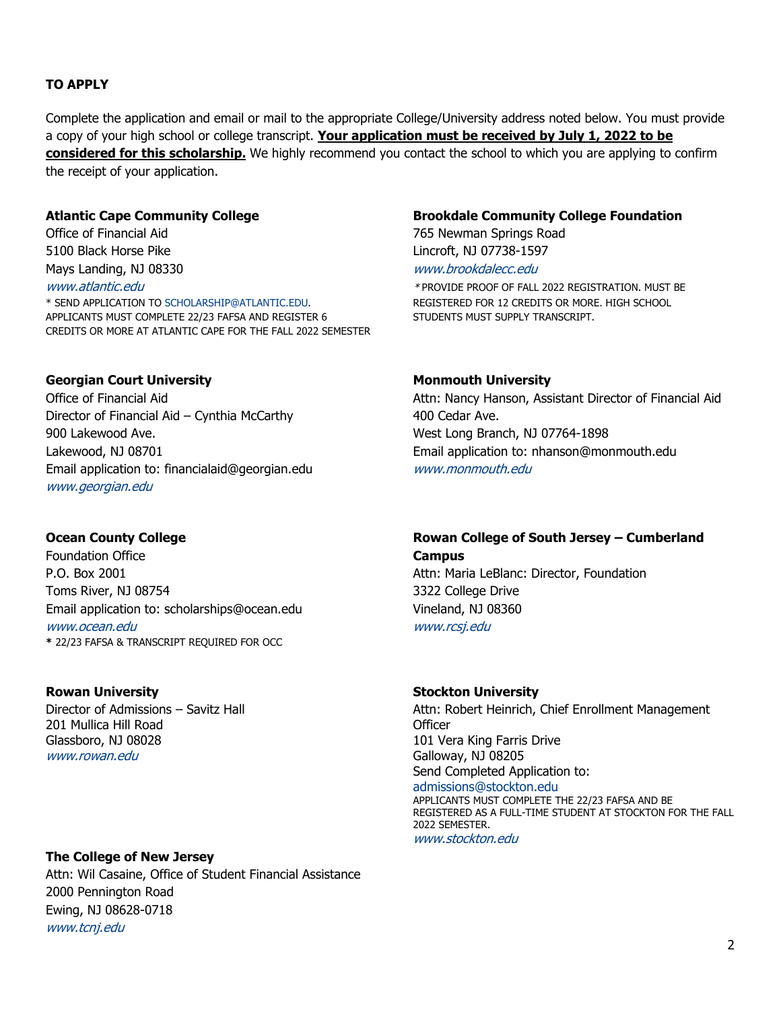# **TO APPLY**

Complete the application and email or mail to the appropriate College/University address noted below. You must provide a copy of your high school or college transcript. **Your application must be received by July 1, 2022 to be considered for this scholarship.** We highly recommend you contact the school to which you are applying to confirm the receipt of your application.

5100 Black Horse Pike Lincroft, NJ 07738-1597 Mays Landing, NJ 08330 WWW.brookdalecc.edu

\* SEND APPLICATION TO [SCHOLARSHIP@ATLANTIC.EDU.](mailto:SCHOLARSHIP@ATLANTIC.EDU) REGISTERED FOR 12 CREDITS OR MORE. HIGH SCHOOL APPLICANTS MUST COMPLETE 22/23 FAFSA AND REGISTER 6 STUDENTS MUST SUPPLY TRANSCRIPT. CREDITS OR MORE AT ATLANTIC CAPE FOR THE FALL 2022 SEMESTER

## **Georgian Court University Monmouth University**

Director of Financial Aid – Cynthia McCarthy 400 Cedar Ave. 900 Lakewood Ave. **West Long Branch, NJ 07764-1898** Lakewood, NJ 08701 Email application to: nhanson@monmouth.edu Email application to: [financialaid@georgian.edu](mailto:financialaid@georgian.edu) [www.monmouth.edu](http://www.monmouth.edu/) [www.georgian.edu](http://www.georgian.edu/)

Foundation Office **Campus** P.O. Box 2001 **Attn: Maria LeBlanc: Director, Foundation** Toms River, NJ 08754 3322 College Drive Email application to: [scholarships@ocean.edu](mailto:scholarships@ocean.edu) Vineland, NJ 08360 [www.ocean.edu](http://www.ocean.edu/) www.rcsj.edu **\*** 22/23 FAFSA & TRANSCRIPT REQUIRED FOR OCC

201 Mullica Hill Road Officer Glassboro, NJ 08028 101 Vera King Farris Drive [www.rowan.edu](http://www.rowan.edu/) extensive control of the Galloway, NJ 08205

## **The College of New Jersey**

Attn: Wil Casaine, Office of Student Financial Assistance 2000 Pennington Road Ewing, NJ 08628-0718 [www.tcnj.edu](http://www.tcnj.edu/)

### **Atlantic Cape Community College Brookdale Community College Foundation**

Office of Financial Aid 765 Newman Springs Road

www.*atlantic.edu* \* PROVIDE PROOF OF FALL 2022 REGISTRATION. MUST BE

Office of Financial Aid **Attn: Nancy Hanson, Assistant Director of Financial Aid** Aid

# **Ocean County College Rowan College of South Jersey – Cumberland**

## **Rowan University <b>Stockton University Rowan** University

Director of Admissions – Savitz Hall **Attn: Robert Heinrich, Chief Enrollment Management** Send Completed Application to:<br>admissions@stockton.edu APPLICANTS MUST COMPLETE THE 22/23 FAFSA AND BE REGISTERED AS A FULL-TIME STUDENT AT STOCKTON FOR THE FALL 2022 SEMESTER.

[www.stockton.edu](http://www.stockton.edu/)